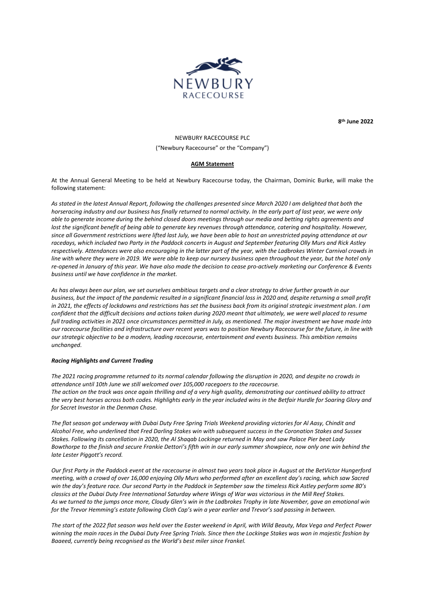

**8th June 2022**

# NEWBURY RACECOURSE PLC ("Newbury Racecourse" or the "Company")

## **AGM Statement**

At the Annual General Meeting to be held at Newbury Racecourse today, the Chairman, Dominic Burke, will make the following statement:

*As stated in the latest Annual Report, following the challenges presented since March 2020 I am delighted that both the horseracing industry and our business has finally returned to normal activity. In the early part of last year, we were only able to generate income during the behind closed doors meetings through our media and betting rights agreements and*  lost the significant benefit of being able to generate key revenues through attendance, catering and hospitality. However, *since all Government restrictions were lifted last July, we have been able to host an unrestricted paying attendance at our racedays, which included two Party in the Paddock concerts in August and September featuring Olly Murs and Rick Astley respectively. Attendances were also encouraging in the latter part of the year, with the Ladbrokes Winter Carnival crowds in line with where they were in 2019. We were able to keep our nursery business open throughout the year, but the hotel only re-opened in January of this year. We have also made the decision to cease pro-actively marketing our Conference & Events business until we have confidence in the market.* 

*As has always been our plan, we set ourselves ambitious targets and a clear strategy to drive further growth in our business, but the impact of the pandemic resulted in a significant financial loss in 2020 and, despite returning a small profit in 2021, the effects of lockdowns and restrictions has set the business back from its original strategic investment plan. I am confident that the difficult decisions and actions taken during 2020 meant that ultimately, we were well placed to resume full trading activities in 2021 once circumstances permitted in July, as mentioned. The major investment we have made into our racecourse facilities and infrastructure over recent years was to position Newbury Racecourse for the future, in line with our strategic objective to be a modern, leading racecourse, entertainment and events business. This ambition remains unchanged.*

### *Racing Highlights and Current Trading*

*The 2021 racing programme returned to its normal calendar following the disruption in 2020, and despite no crowds in attendance until 10th June we still welcomed over 105,000 racegoers to the racecourse. The action on the track was once again thrilling and of a very high quality, demonstrating our continued ability to attract the very best horses across both codes. Highlights early in the year included wins in the Betfair Hurdle for Soaring Glory and for Secret Investor in the Denman Chase.*

*The flat season got underway with Dubai Duty Free Spring Trials Weekend providing victories for Al Aasy, Chindit and Alcohol Free, who underlined that Fred Darling Stakes win with subsequent success in the Coronation Stakes and Sussex Stakes. Following its cancellation in 2020, the Al Shaqab Lockinge returned in May and saw Palace Pier beat Lady Bowthorpe to the finish and secure Frankie Dettori's fifth win in our early summer showpiece, now only one win behind the late Lester Piggott's record.*

*Our first Party in the Paddock event at the racecourse in almost two years took place in August at the BetVictor Hungerford meeting, with a crowd of over 16,000 enjoying Olly Murs who performed after an excellent day's racing, which saw Sacred win the day's feature race. Our second Party in the Paddock in September saw the timeless Rick Astley perform some 80's classics at the Dubai Duty Free International Saturday where Wings of War was victorious in the Mill Reef Stakes. As we turned to the jumps once more, Cloudy Glen's win in the Ladbrokes Trophy in late November, gave an emotional win for the Trevor Hemming's estate following Cloth Cap's win a year earlier and Trevor's sad passing in between.*

*The start of the 2022 flat season was held over the Easter weekend in April, with Wild Beauty, Max Vega and Perfect Power winning the main races in the Dubai Duty Free Spring Trials. Since then the Lockinge Stakes was won in majestic fashion by Baaeed, currently being recognised as the World's best miler since Frankel.*